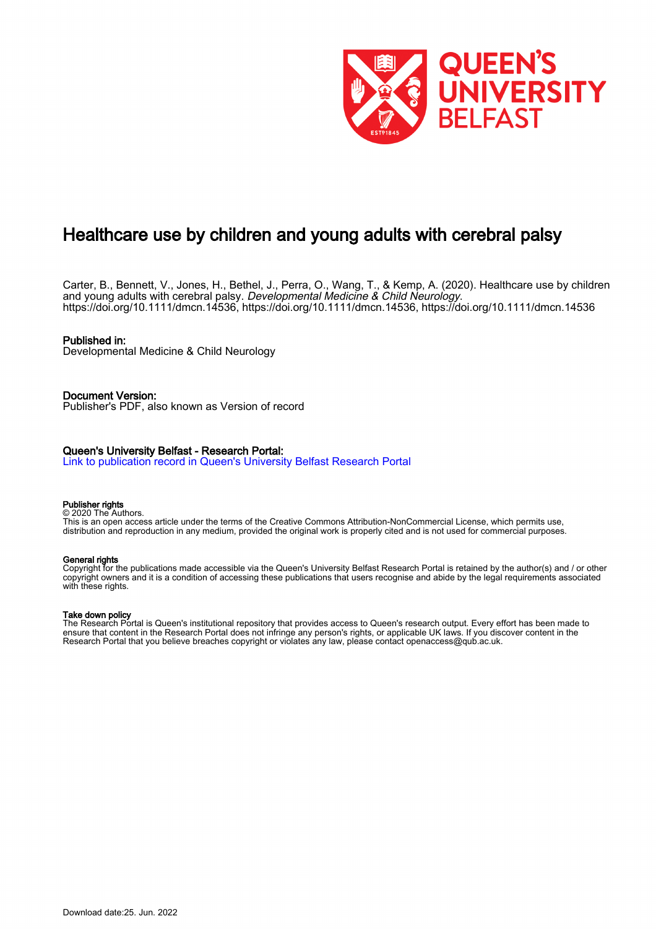

# Healthcare use by children and young adults with cerebral palsy

Carter, B., Bennett, V., Jones, H., Bethel, J., Perra, O., Wang, T., & Kemp, A. (2020). Healthcare use by children and young adults with cerebral palsy. Developmental Medicine & Child Neurology. <https://doi.org/10.1111/dmcn.14536>, [https://doi.org/10.1111/dmcn.14536,](https://doi.org/10.1111/dmcn.14536) <https://doi.org/10.1111/dmcn.14536>

### Published in:

Developmental Medicine & Child Neurology

Document Version: Publisher's PDF, also known as Version of record

## Queen's University Belfast - Research Portal:

[Link to publication record in Queen's University Belfast Research Portal](https://pure.qub.ac.uk/en/publications/f766b493-12bd-4802-9edc-d1ca598da79b)

#### Publisher rights

© 2020 The Authors. This is an open access article under the terms of the Creative Commons Attribution-NonCommercial License, which permits use, distribution and reproduction in any medium, provided the original work is properly cited and is not used for commercial purposes.

#### General rights

Copyright for the publications made accessible via the Queen's University Belfast Research Portal is retained by the author(s) and / or other copyright owners and it is a condition of accessing these publications that users recognise and abide by the legal requirements associated with these rights.

#### Take down policy

The Research Portal is Queen's institutional repository that provides access to Queen's research output. Every effort has been made to ensure that content in the Research Portal does not infringe any person's rights, or applicable UK laws. If you discover content in the Research Portal that you believe breaches copyright or violates any law, please contact openaccess@qub.ac.uk.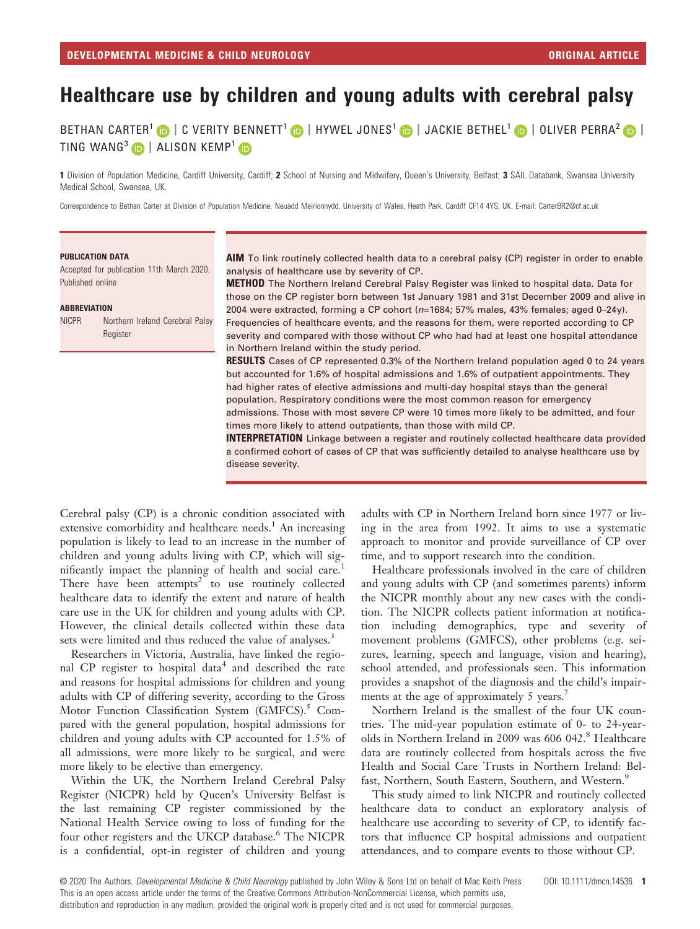# Healthcare use by children and young adults with cerebral palsy

BETHAN CARTER<sup>1</sup> D | C VERITY BENNETT<sup>1</sup> D | HYWEL JONES<sup>1</sup> D | JACKIE BETHEL<sup>1</sup> D | OLIVER PERRA<sup>2</sup> D | TING WANG<sup>3</sup>  $\bullet$  | ALISON KEMP<sup>1</sup>  $\bullet$ 

1 Division of Population Medicine, Cardiff University, Cardiff; 2 School of Nursing and Midwifery, Queen's University, Belfast; 3 SAIL Databank, Swansea University Medical School, Swansea, UK.

Correspondence to Bethan Carter at Division of Population Medicine, Neuadd Meirionnydd, University of Wales, Heath Park, Cardiff CF14 4YS, UK. E-mail: [CarterBR2@cf.ac.uk](mailto:)

#### PUBLICATION DATA

Accepted for publication 11th March 2020. Published online

#### **ARREVIATION**

| <b>NICPR</b> | Northern Ireland Cerebral Palsy |  |  |
|--------------|---------------------------------|--|--|
|              | Register                        |  |  |

AIM To link routinely collected health data to a cerebral palsy (CP) register in order to enable analysis of healthcare use by severity of CP.

METHOD The Northern Ireland Cerebral Palsy Register was linked to hospital data. Data for those on the CP register born between 1st January 1981 and 31st December 2009 and alive in 2004 were extracted, forming a CP cohort (n=1684; 57% males, 43% females; aged 0–24y). Frequencies of healthcare events, and the reasons for them, were reported according to CP severity and compared with those without CP who had had at least one hospital attendance in Northern Ireland within the study period.

**RESULTS** Cases of CP represented 0.3% of the Northern Ireland population aged 0 to 24 years but accounted for 1.6% of hospital admissions and 1.6% of outpatient appointments. They had higher rates of elective admissions and multi-day hospital stays than the general population. Respiratory conditions were the most common reason for emergency admissions. Those with most severe CP were 10 times more likely to be admitted, and four times more likely to attend outpatients, than those with mild CP.

**INTERPRETATION** Linkage between a register and routinely collected healthcare data provided a confirmed cohort of cases of CP that was sufficiently detailed to analyse healthcare use by disease severity.

Cerebral palsy (CP) is a chronic condition associated with extensive comorbidity and healthcare needs.<sup>1</sup> An increasing population is likely to lead to an increase in the number of children and young adults living with CP, which will significantly impact the planning of health and social care.<sup>1</sup> There have been attempts<sup>2</sup> to use routinely collected healthcare data to identify the extent and nature of health care use in the UK for children and young adults with CP. However, the clinical details collected within these data sets were limited and thus reduced the value of analyses.<sup>3</sup>

Researchers in Victoria, Australia, have linked the regional CP register to hospital data<sup>4</sup> and described the rate and reasons for hospital admissions for children and young adults with CP of differing severity, according to the Gross Motor Function Classification System (GMFCS).<sup>5</sup> Compared with the general population, hospital admissions for children and young adults with CP accounted for 1.5% of all admissions, were more likely to be surgical, and were more likely to be elective than emergency.

Within the UK, the Northern Ireland Cerebral Palsy Register (NICPR) held by Queen's University Belfast is the last remaining CP register commissioned by the National Health Service owing to loss of funding for the four other registers and the UKCP database.<sup>6</sup> The NICPR is a confidential, opt-in register of children and young

adults with CP in Northern Ireland born since 1977 or living in the area from 1992. It aims to use a systematic approach to monitor and provide surveillance of CP over time, and to support research into the condition.

Healthcare professionals involved in the care of children and young adults with CP (and sometimes parents) inform the NICPR monthly about any new cases with the condition. The NICPR collects patient information at notification including demographics, type and severity of movement problems (GMFCS), other problems (e.g. seizures, learning, speech and language, vision and hearing), school attended, and professionals seen. This information provides a snapshot of the diagnosis and the child's impairments at the age of approximately 5 years.<sup>7</sup>

Northern Ireland is the smallest of the four UK countries. The mid-year population estimate of 0- to 24-yearolds in Northern Ireland in 2009 was 606 042.<sup>8</sup> Healthcare data are routinely collected from hospitals across the five Health and Social Care Trusts in Northern Ireland: Belfast, Northern, South Eastern, Southern, and Western.<sup>9</sup>

This study aimed to link NICPR and routinely collected healthcare data to conduct an exploratory analysis of healthcare use according to severity of CP, to identify factors that influence CP hospital admissions and outpatient attendances, and to compare events to those without CP.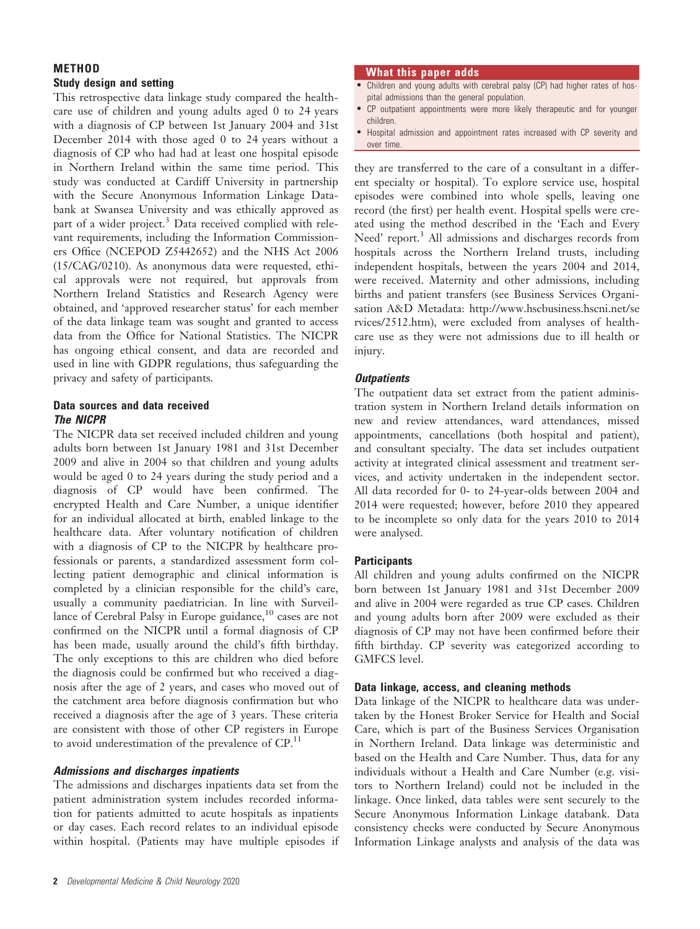## **METHOD** Study design and setting

This retrospective data linkage study compared the healthcare use of children and young adults aged 0 to 24 years with a diagnosis of CP between 1st January 2004 and 31st December 2014 with those aged 0 to 24 years without a diagnosis of CP who had had at least one hospital episode in Northern Ireland within the same time period. This study was conducted at Cardiff University in partnership with the Secure Anonymous Information Linkage Databank at Swansea University and was ethically approved as part of a wider project.<sup>3</sup> Data received complied with relevant requirements, including the Information Commissioners Office (NCEPOD Z5442652) and the NHS Act 2006 (15/CAG/0210). As anonymous data were requested, ethical approvals were not required, but approvals from Northern Ireland Statistics and Research Agency were obtained, and 'approved researcher status' for each member of the data linkage team was sought and granted to access data from the Office for National Statistics. The NICPR has ongoing ethical consent, and data are recorded and used in line with GDPR regulations, thus safeguarding the privacy and safety of participants.

# Data sources and data received The NICPR

The NICPR data set received included children and young adults born between 1st January 1981 and 31st December 2009 and alive in 2004 so that children and young adults would be aged 0 to 24 years during the study period and a diagnosis of CP would have been confirmed. The encrypted Health and Care Number, a unique identifier for an individual allocated at birth, enabled linkage to the healthcare data. After voluntary notification of children with a diagnosis of CP to the NICPR by healthcare professionals or parents, a standardized assessment form collecting patient demographic and clinical information is completed by a clinician responsible for the child's care, usually a community paediatrician. In line with Surveillance of Cerebral Palsy in Europe guidance,<sup>10</sup> cases are not confirmed on the NICPR until a formal diagnosis of CP has been made, usually around the child's fifth birthday. The only exceptions to this are children who died before the diagnosis could be confirmed but who received a diagnosis after the age of 2 years, and cases who moved out of the catchment area before diagnosis confirmation but who received a diagnosis after the age of 3 years. These criteria are consistent with those of other CP registers in Europe to avoid underestimation of the prevalence of  $\text{CP}.^{11}$ 

# Admissions and discharges inpatients

The admissions and discharges inpatients data set from the patient administration system includes recorded information for patients admitted to acute hospitals as inpatients or day cases. Each record relates to an individual episode within hospital. (Patients may have multiple episodes if

## What this paper adds

- Children and young adults with cerebral palsy (CP) had higher rates of hospital admissions than the general population.
- CP outpatient appointments were more likely therapeutic and for younger children.
- Hospital admission and appointment rates increased with CP severity and over time.

they are transferred to the care of a consultant in a different specialty or hospital). To explore service use, hospital episodes were combined into whole spells, leaving one record (the first) per health event. Hospital spells were created using the method described in the 'Each and Every Need' report.<sup>3</sup> All admissions and discharges records from hospitals across the Northern Ireland trusts, including independent hospitals, between the years 2004 and 2014, were received. Maternity and other admissions, including births and patient transfers (see Business Services Organisation A&D Metadata: [http://www.hscbusiness.hscni.net/se](http://www.hscbusiness.hscni.net/services/2512.htm) [rvices/2512.htm](http://www.hscbusiness.hscni.net/services/2512.htm)), were excluded from analyses of healthcare use as they were not admissions due to ill health or injury.

# **Outpatients**

The outpatient data set extract from the patient administration system in Northern Ireland details information on new and review attendances, ward attendances, missed appointments, cancellations (both hospital and patient), and consultant specialty. The data set includes outpatient activity at integrated clinical assessment and treatment services, and activity undertaken in the independent sector. All data recorded for 0- to 24-year-olds between 2004 and 2014 were requested; however, before 2010 they appeared to be incomplete so only data for the years 2010 to 2014 were analysed.

# **Participants**

All children and young adults confirmed on the NICPR born between 1st January 1981 and 31st December 2009 and alive in 2004 were regarded as true CP cases. Children and young adults born after 2009 were excluded as their diagnosis of CP may not have been confirmed before their fifth birthday. CP severity was categorized according to GMFCS level.

# Data linkage, access, and cleaning methods

Data linkage of the NICPR to healthcare data was undertaken by the Honest Broker Service for Health and Social Care, which is part of the Business Services Organisation in Northern Ireland. Data linkage was deterministic and based on the Health and Care Number. Thus, data for any individuals without a Health and Care Number (e.g. visitors to Northern Ireland) could not be included in the linkage. Once linked, data tables were sent securely to the Secure Anonymous Information Linkage databank. Data consistency checks were conducted by Secure Anonymous Information Linkage analysts and analysis of the data was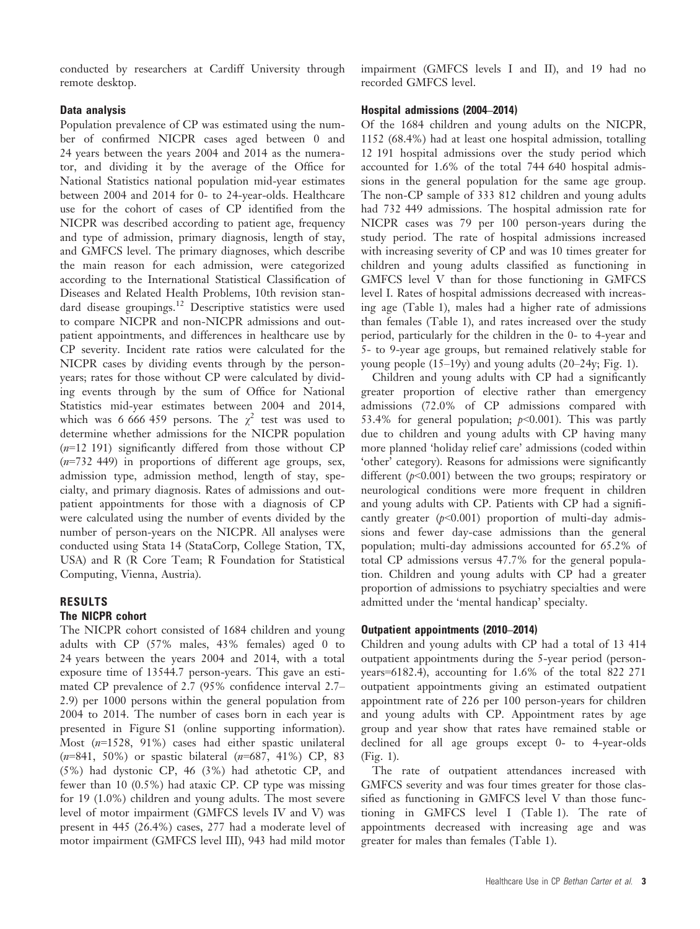conducted by researchers at Cardiff University through remote desktop.

### Data analysis

Population prevalence of CP was estimated using the number of confirmed NICPR cases aged between 0 and 24 years between the years 2004 and 2014 as the numerator, and dividing it by the average of the Office for National Statistics national population mid-year estimates between 2004 and 2014 for 0- to 24-year-olds. Healthcare use for the cohort of cases of CP identified from the NICPR was described according to patient age, frequency and type of admission, primary diagnosis, length of stay, and GMFCS level. The primary diagnoses, which describe the main reason for each admission, were categorized according to the International Statistical Classification of Diseases and Related Health Problems, 10th revision standard disease groupings.<sup>12</sup> Descriptive statistics were used to compare NICPR and non-NICPR admissions and outpatient appointments, and differences in healthcare use by CP severity. Incident rate ratios were calculated for the NICPR cases by dividing events through by the personyears; rates for those without CP were calculated by dividing events through by the sum of Office for National Statistics mid-year estimates between 2004 and 2014, which was 6 666 459 persons. The  $\chi^2$  test was used to determine whether admissions for the NICPR population  $(n=12 191)$  significantly differed from those without CP  $(n=732 449)$  in proportions of different age groups, sex, admission type, admission method, length of stay, specialty, and primary diagnosis. Rates of admissions and outpatient appointments for those with a diagnosis of CP were calculated using the number of events divided by the number of person-years on the NICPR. All analyses were conducted using Stata 14 (StataCorp, College Station, TX, USA) and R (R Core Team; R Foundation for Statistical Computing, Vienna, Austria).

# RESULTS

# The NICPR cohort

The NICPR cohort consisted of 1684 children and young adults with CP (57% males, 43% females) aged 0 to 24 years between the years 2004 and 2014, with a total exposure time of 13544.7 person-years. This gave an estimated CP prevalence of 2.7 (95% confidence interval 2.7– 2.9) per 1000 persons within the general population from 2004 to 2014. The number of cases born in each year is presented in Figure S1 (online supporting information). Most (n=1528, 91%) cases had either spastic unilateral  $(n=841, 50\%)$  or spastic bilateral  $(n=687, 41\%)$  CP, 83 (5%) had dystonic CP, 46 (3%) had athetotic CP, and fewer than 10 (0.5%) had ataxic CP. CP type was missing for 19 (1.0%) children and young adults. The most severe level of motor impairment (GMFCS levels IV and V) was present in 445 (26.4%) cases, 277 had a moderate level of motor impairment (GMFCS level III), 943 had mild motor impairment (GMFCS levels I and II), and 19 had no recorded GMFCS level.

#### Hospital admissions (2004–2014)

Of the 1684 children and young adults on the NICPR, 1152 (68.4%) had at least one hospital admission, totalling 12 191 hospital admissions over the study period which accounted for 1.6% of the total 744 640 hospital admissions in the general population for the same age group. The non-CP sample of 333 812 children and young adults had 732 449 admissions. The hospital admission rate for NICPR cases was 79 per 100 person-years during the study period. The rate of hospital admissions increased with increasing severity of CP and was 10 times greater for children and young adults classified as functioning in GMFCS level V than for those functioning in GMFCS level I. Rates of hospital admissions decreased with increasing age (Table 1), males had a higher rate of admissions than females (Table 1), and rates increased over the study period, particularly for the children in the 0- to 4-year and 5- to 9-year age groups, but remained relatively stable for young people (15–19y) and young adults (20–24y; Fig. 1).

Children and young adults with CP had a significantly greater proportion of elective rather than emergency admissions (72.0% of CP admissions compared with 53.4% for general population;  $p<0.001$ ). This was partly due to children and young adults with CP having many more planned 'holiday relief care' admissions (coded within 'other' category). Reasons for admissions were significantly different ( $p<0.001$ ) between the two groups; respiratory or neurological conditions were more frequent in children and young adults with CP. Patients with CP had a significantly greater  $(p<0.001)$  proportion of multi-day admissions and fewer day-case admissions than the general population; multi-day admissions accounted for 65.2% of total CP admissions versus 47.7% for the general population. Children and young adults with CP had a greater proportion of admissions to psychiatry specialties and were admitted under the 'mental handicap' specialty.

### Outpatient appointments (2010–2014)

Children and young adults with CP had a total of 13 414 outpatient appointments during the 5-year period (personyears=6182.4), accounting for 1.6% of the total 822 271 outpatient appointments giving an estimated outpatient appointment rate of 226 per 100 person-years for children and young adults with CP. Appointment rates by age group and year show that rates have remained stable or declined for all age groups except 0- to 4-year-olds (Fig. 1).

The rate of outpatient attendances increased with GMFCS severity and was four times greater for those classified as functioning in GMFCS level V than those functioning in GMFCS level I (Table 1). The rate of appointments decreased with increasing age and was greater for males than females (Table 1).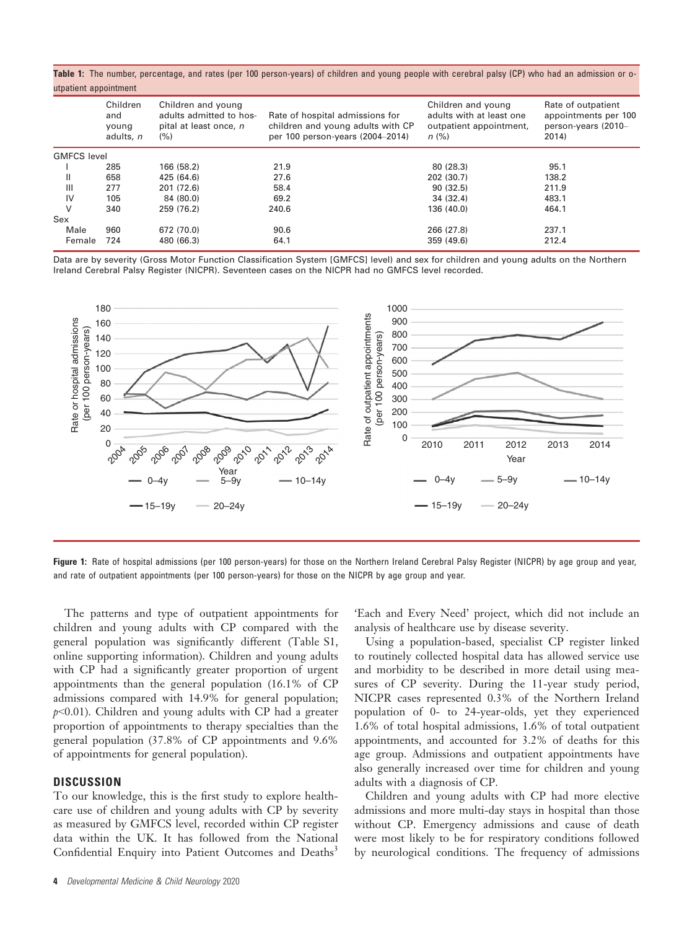Table 1: The number, percentage, and rates (per 100 person-years) of children and young people with cerebral palsy (CP) who had an admission or outpatient appointment

|                    | Children<br>and<br>young<br>adults, n | Children and young<br>adults admitted to hos-<br>pital at least once, n<br>(% ) | Rate of hospital admissions for<br>children and young adults with CP<br>per 100 person-years (2004-2014) | Children and young<br>adults with at least one<br>outpatient appointment,<br>$n$ (%) | Rate of outpatient<br>appointments per 100<br>person-years (2010-<br>2014) |  |  |
|--------------------|---------------------------------------|---------------------------------------------------------------------------------|----------------------------------------------------------------------------------------------------------|--------------------------------------------------------------------------------------|----------------------------------------------------------------------------|--|--|
| <b>GMFCS level</b> |                                       |                                                                                 |                                                                                                          |                                                                                      |                                                                            |  |  |
|                    | 285                                   | 166 (58.2)                                                                      | 21.9                                                                                                     | 80 (28.3)                                                                            | 95.1                                                                       |  |  |
| Ш                  | 658                                   | 425 (64.6)                                                                      | 27.6                                                                                                     | 202 (30.7)                                                                           | 138.2                                                                      |  |  |
| Ш                  | 277                                   | 201 (72.6)                                                                      | 58.4                                                                                                     | 90(32.5)                                                                             | 211.9                                                                      |  |  |
| IV                 | 105                                   | 84 (80.0)                                                                       | 69.2                                                                                                     | 34 (32.4)                                                                            | 483.1                                                                      |  |  |
| V                  | 340                                   | 259 (76.2)                                                                      | 240.6                                                                                                    | 136 (40.0)                                                                           | 464.1                                                                      |  |  |
| Sex                |                                       |                                                                                 |                                                                                                          |                                                                                      |                                                                            |  |  |
| Male               | 960                                   | 672 (70.0)                                                                      | 90.6                                                                                                     | 266 (27.8)                                                                           | 237.1                                                                      |  |  |
| Female             | 724                                   | 480 (66.3)                                                                      | 64.1                                                                                                     | 359 (49.6)                                                                           | 212.4                                                                      |  |  |

Data are by severity (Gross Motor Function Classification System [GMFCS] level) and sex for children and young adults on the Northern Ireland Cerebral Palsy Register (NICPR). Seventeen cases on the NICPR had no GMFCS level recorded.



Figure 1: Rate of hospital admissions (per 100 person-years) for those on the Northern Ireland Cerebral Palsy Register (NICPR) by age group and year, and rate of outpatient appointments (per 100 person-years) for those on the NICPR by age group and year.

The patterns and type of outpatient appointments for children and young adults with CP compared with the general population was significantly different (Table S1, online supporting information). Children and young adults with CP had a significantly greater proportion of urgent appointments than the general population (16.1% of CP admissions compared with 14.9% for general population;  $p<0.01$ ). Children and young adults with CP had a greater proportion of appointments to therapy specialties than the general population (37.8% of CP appointments and 9.6% of appointments for general population).

### **DISCUSSION**

To our knowledge, this is the first study to explore healthcare use of children and young adults with CP by severity as measured by GMFCS level, recorded within CP register data within the UK. It has followed from the National Confidential Enquiry into Patient Outcomes and Deaths<sup>3</sup> 'Each and Every Need' project, which did not include an analysis of healthcare use by disease severity.

Using a population-based, specialist CP register linked to routinely collected hospital data has allowed service use and morbidity to be described in more detail using measures of CP severity. During the 11-year study period, NICPR cases represented 0.3% of the Northern Ireland population of 0- to 24-year-olds, yet they experienced 1.6% of total hospital admissions, 1.6% of total outpatient appointments, and accounted for 3.2% of deaths for this age group. Admissions and outpatient appointments have also generally increased over time for children and young adults with a diagnosis of CP.

Children and young adults with CP had more elective admissions and more multi-day stays in hospital than those without CP. Emergency admissions and cause of death were most likely to be for respiratory conditions followed by neurological conditions. The frequency of admissions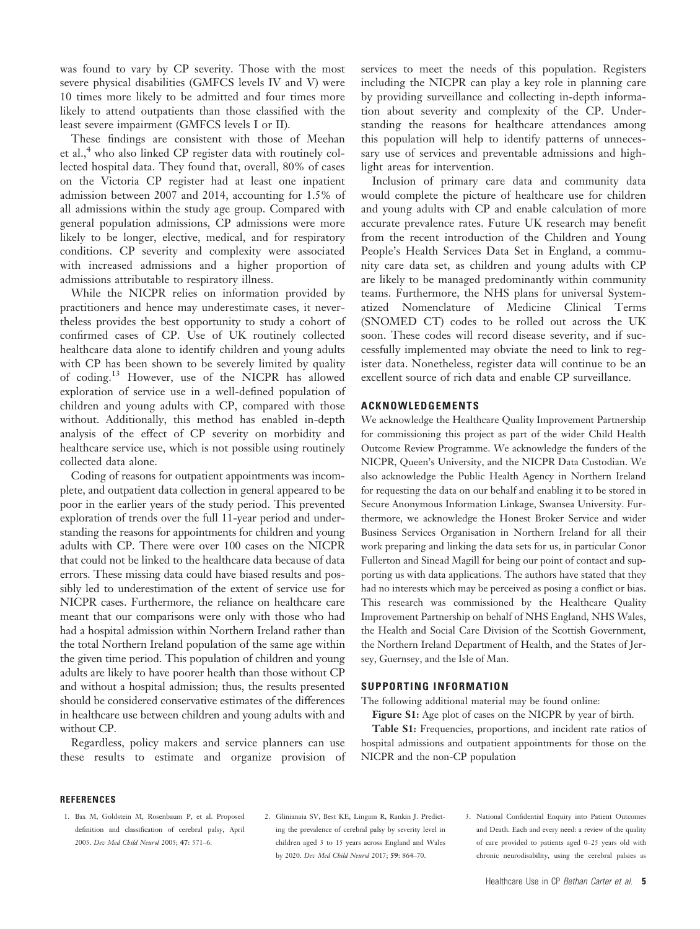was found to vary by CP severity. Those with the most severe physical disabilities (GMFCS levels IV and V) were 10 times more likely to be admitted and four times more likely to attend outpatients than those classified with the least severe impairment (GMFCS levels I or II).

These findings are consistent with those of Meehan et al.,<sup>4</sup> who also linked CP register data with routinely collected hospital data. They found that, overall, 80% of cases on the Victoria CP register had at least one inpatient admission between 2007 and 2014, accounting for 1.5% of all admissions within the study age group. Compared with general population admissions, CP admissions were more likely to be longer, elective, medical, and for respiratory conditions. CP severity and complexity were associated with increased admissions and a higher proportion of admissions attributable to respiratory illness.

While the NICPR relies on information provided by practitioners and hence may underestimate cases, it nevertheless provides the best opportunity to study a cohort of confirmed cases of CP. Use of UK routinely collected healthcare data alone to identify children and young adults with CP has been shown to be severely limited by quality of coding.<sup>13</sup> However, use of the NICPR has allowed exploration of service use in a well-defined population of children and young adults with CP, compared with those without. Additionally, this method has enabled in-depth analysis of the effect of CP severity on morbidity and healthcare service use, which is not possible using routinely collected data alone.

Coding of reasons for outpatient appointments was incomplete, and outpatient data collection in general appeared to be poor in the earlier years of the study period. This prevented exploration of trends over the full 11-year period and understanding the reasons for appointments for children and young adults with CP. There were over 100 cases on the NICPR that could not be linked to the healthcare data because of data errors. These missing data could have biased results and possibly led to underestimation of the extent of service use for NICPR cases. Furthermore, the reliance on healthcare care meant that our comparisons were only with those who had had a hospital admission within Northern Ireland rather than the total Northern Ireland population of the same age within the given time period. This population of children and young adults are likely to have poorer health than those without CP and without a hospital admission; thus, the results presented should be considered conservative estimates of the differences in healthcare use between children and young adults with and without CP.

Regardless, policy makers and service planners can use these results to estimate and organize provision of

services to meet the needs of this population. Registers including the NICPR can play a key role in planning care by providing surveillance and collecting in-depth information about severity and complexity of the CP. Understanding the reasons for healthcare attendances among this population will help to identify patterns of unnecessary use of services and preventable admissions and highlight areas for intervention.

Inclusion of primary care data and community data would complete the picture of healthcare use for children and young adults with CP and enable calculation of more accurate prevalence rates. Future UK research may benefit from the recent introduction of the Children and Young People's Health Services Data Set in England, a community care data set, as children and young adults with CP are likely to be managed predominantly within community teams. Furthermore, the NHS plans for universal Systematized Nomenclature of Medicine Clinical Terms (SNOMED CT) codes to be rolled out across the UK soon. These codes will record disease severity, and if successfully implemented may obviate the need to link to register data. Nonetheless, register data will continue to be an excellent source of rich data and enable CP surveillance.

#### ACKNOWLEDGEMENTS

We acknowledge the Healthcare Quality Improvement Partnership for commissioning this project as part of the wider Child Health Outcome Review Programme. We acknowledge the funders of the NICPR, Queen's University, and the NICPR Data Custodian. We also acknowledge the Public Health Agency in Northern Ireland for requesting the data on our behalf and enabling it to be stored in Secure Anonymous Information Linkage, Swansea University. Furthermore, we acknowledge the Honest Broker Service and wider Business Services Organisation in Northern Ireland for all their work preparing and linking the data sets for us, in particular Conor Fullerton and Sinead Magill for being our point of contact and supporting us with data applications. The authors have stated that they had no interests which may be perceived as posing a conflict or bias. This research was commissioned by the Healthcare Quality Improvement Partnership on behalf of NHS England, NHS Wales, the Health and Social Care Division of the Scottish Government, the Northern Ireland Department of Health, and the States of Jersey, Guernsey, and the Isle of Man.

#### SUPPORTING INFORMATION

The following additional material may be found online:

Figure S1: Age plot of cases on the NICPR by year of birth. Table S1: Frequencies, proportions, and incident rate ratios of hospital admissions and outpatient appointments for those on the NICPR and the non-CP population

#### **REFERENCES**

- 1. Bax M, Goldstein M, Rosenbaum P, et al. Proposed definition and classification of cerebral palsy, April 2005. Dev Med Child Neurol 2005; 47: 571–6.
- 2. Glinianaia SV, Best KE, Lingam R, Rankin J. Predicting the prevalence of cerebral palsy by severity level in children aged 3 to 15 years across England and Wales by 2020. Dev Med Child Neurol 2017; 59: 864–70.
- 3. National Confidential Enquiry into Patient Outcomes and Death. Each and every need: a review of the quality of care provided to patients aged 0–25 years old with chronic neurodisability, using the cerebral palsies as